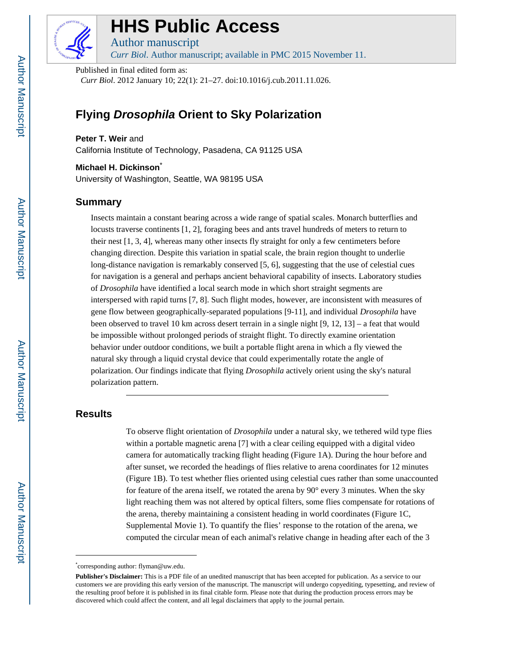

# **HHS Public Access**

Author manuscript *Curr Biol*. Author manuscript; available in PMC 2015 November 11.

Published in final edited form as:

*Curr Biol*. 2012 January 10; 22(1): 21–27. doi:10.1016/j.cub.2011.11.026.

## **Flying Drosophila Orient to Sky Polarization**

**Peter T. Weir** and

California Institute of Technology, Pasadena, CA 91125 USA

**Michael H. Dickinson**\* University of Washington, Seattle, WA 98195 USA

## **Summary**

Insects maintain a constant bearing across a wide range of spatial scales. Monarch butterflies and locusts traverse continents [1, 2], foraging bees and ants travel hundreds of meters to return to their nest [1, 3, 4], whereas many other insects fly straight for only a few centimeters before changing direction. Despite this variation in spatial scale, the brain region thought to underlie long-distance navigation is remarkably conserved [5, 6], suggesting that the use of celestial cues for navigation is a general and perhaps ancient behavioral capability of insects. Laboratory studies of *Drosophila* have identified a local search mode in which short straight segments are interspersed with rapid turns [7, 8]. Such flight modes, however, are inconsistent with measures of gene flow between geographically-separated populations [9-11], and individual *Drosophila* have been observed to travel 10 km across desert terrain in a single night [9, 12, 13] – a feat that would be impossible without prolonged periods of straight flight. To directly examine orientation behavior under outdoor conditions, we built a portable flight arena in which a fly viewed the natural sky through a liquid crystal device that could experimentally rotate the angle of polarization. Our findings indicate that flying *Drosophila* actively orient using the sky's natural polarization pattern.

## **Results**

To observe flight orientation of *Drosophila* under a natural sky, we tethered wild type flies within a portable magnetic arena [7] with a clear ceiling equipped with a digital video camera for automatically tracking flight heading (Figure 1A). During the hour before and after sunset, we recorded the headings of flies relative to arena coordinates for 12 minutes (Figure 1B). To test whether flies oriented using celestial cues rather than some unaccounted for feature of the arena itself, we rotated the arena by 90° every 3 minutes. When the sky light reaching them was not altered by optical filters, some flies compensate for rotations of the arena, thereby maintaining a consistent heading in world coordinates (Figure 1C, Supplemental Movie 1). To quantify the flies' response to the rotation of the arena, we computed the circular mean of each animal's relative change in heading after each of the 3

<sup>\*</sup> corresponding author: flyman@uw.edu.

**Publisher's Disclaimer:** This is a PDF file of an unedited manuscript that has been accepted for publication. As a service to our customers we are providing this early version of the manuscript. The manuscript will undergo copyediting, typesetting, and review of the resulting proof before it is published in its final citable form. Please note that during the production process errors may be discovered which could affect the content, and all legal disclaimers that apply to the journal pertain.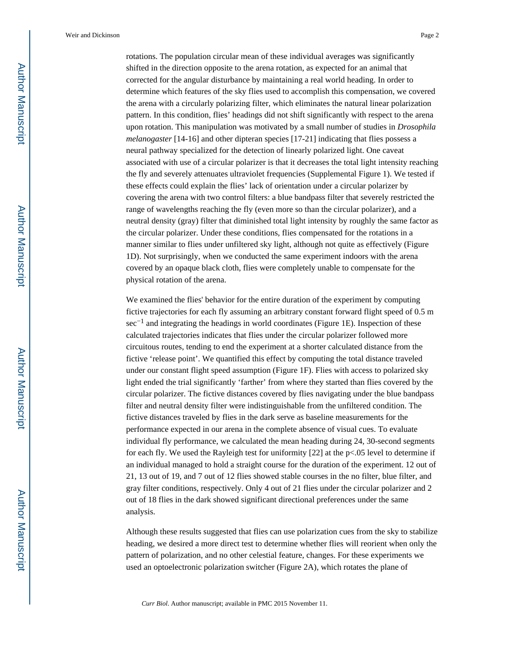rotations. The population circular mean of these individual averages was significantly shifted in the direction opposite to the arena rotation, as expected for an animal that corrected for the angular disturbance by maintaining a real world heading. In order to determine which features of the sky flies used to accomplish this compensation, we covered the arena with a circularly polarizing filter, which eliminates the natural linear polarization pattern. In this condition, flies' headings did not shift significantly with respect to the arena upon rotation. This manipulation was motivated by a small number of studies in *Drosophila melanogaster* [14-16] and other dipteran species [17-21] indicating that flies possess a neural pathway specialized for the detection of linearly polarized light. One caveat associated with use of a circular polarizer is that it decreases the total light intensity reaching the fly and severely attenuates ultraviolet frequencies (Supplemental Figure 1). We tested if these effects could explain the flies' lack of orientation under a circular polarizer by covering the arena with two control filters: a blue bandpass filter that severely restricted the range of wavelengths reaching the fly (even more so than the circular polarizer), and a neutral density (gray) filter that diminished total light intensity by roughly the same factor as the circular polarizer. Under these conditions, flies compensated for the rotations in a manner similar to flies under unfiltered sky light, although not quite as effectively (Figure 1D). Not surprisingly, when we conducted the same experiment indoors with the arena covered by an opaque black cloth, flies were completely unable to compensate for the physical rotation of the arena.

We examined the flies' behavior for the entire duration of the experiment by computing fictive trajectories for each fly assuming an arbitrary constant forward flight speed of 0.5 m sec<sup>-1</sup> and integrating the headings in world coordinates (Figure 1E). Inspection of these calculated trajectories indicates that flies under the circular polarizer followed more circuitous routes, tending to end the experiment at a shorter calculated distance from the fictive 'release point'. We quantified this effect by computing the total distance traveled under our constant flight speed assumption (Figure 1F). Flies with access to polarized sky light ended the trial significantly 'farther' from where they started than flies covered by the circular polarizer. The fictive distances covered by flies navigating under the blue bandpass filter and neutral density filter were indistinguishable from the unfiltered condition. The fictive distances traveled by flies in the dark serve as baseline measurements for the performance expected in our arena in the complete absence of visual cues. To evaluate individual fly performance, we calculated the mean heading during 24, 30-second segments for each fly. We used the Rayleigh test for uniformity  $[22]$  at the p<.05 level to determine if an individual managed to hold a straight course for the duration of the experiment. 12 out of 21, 13 out of 19, and 7 out of 12 flies showed stable courses in the no filter, blue filter, and gray filter conditions, respectively. Only 4 out of 21 flies under the circular polarizer and 2 out of 18 flies in the dark showed significant directional preferences under the same analysis.

Although these results suggested that flies can use polarization cues from the sky to stabilize heading, we desired a more direct test to determine whether flies will reorient when only the pattern of polarization, and no other celestial feature, changes. For these experiments we used an optoelectronic polarization switcher (Figure 2A), which rotates the plane of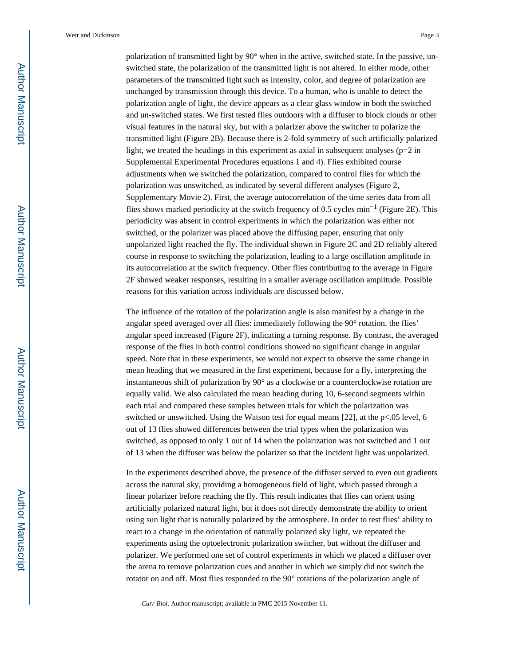polarization of transmitted light by 90° when in the active, switched state. In the passive, unswitched state, the polarization of the transmitted light is not altered. In either mode, other parameters of the transmitted light such as intensity, color, and degree of polarization are unchanged by transmission through this device. To a human, who is unable to detect the polarization angle of light, the device appears as a clear glass window in both the switched and un-switched states. We first tested flies outdoors with a diffuser to block clouds or other visual features in the natural sky, but with a polarizer above the switcher to polarize the transmitted light (Figure 2B). Because there is 2-fold symmetry of such artificially polarized light, we treated the headings in this experiment as axial in subsequent analyses ( $p=2$  in Supplemental Experimental Procedures equations 1 and 4). Flies exhibited course adjustments when we switched the polarization, compared to control flies for which the polarization was unswitched, as indicated by several different analyses (Figure 2, Supplementary Movie 2). First, the average autocorrelation of the time series data from all flies shows marked periodicity at the switch frequency of 0.5 cycles min−1 (Figure 2E). This periodicity was absent in control experiments in which the polarization was either not switched, or the polarizer was placed above the diffusing paper, ensuring that only unpolarized light reached the fly. The individual shown in Figure 2C and 2D reliably altered course in response to switching the polarization, leading to a large oscillation amplitude in its autocorrelation at the switch frequency. Other flies contributing to the average in Figure 2F showed weaker responses, resulting in a smaller average oscillation amplitude. Possible reasons for this variation across individuals are discussed below.

The influence of the rotation of the polarization angle is also manifest by a change in the angular speed averaged over all flies: immediately following the 90° rotation, the flies' angular speed increased (Figure 2F), indicating a turning response. By contrast, the averaged response of the flies in both control conditions showed no significant change in angular speed. Note that in these experiments, we would not expect to observe the same change in mean heading that we measured in the first experiment, because for a fly, interpreting the instantaneous shift of polarization by 90° as a clockwise or a counterclockwise rotation are equally valid. We also calculated the mean heading during 10, 6-second segments within each trial and compared these samples between trials for which the polarization was switched or unswitched. Using the Watson test for equal means [22], at the  $p<.05$  level, 6 out of 13 flies showed differences between the trial types when the polarization was switched, as opposed to only 1 out of 14 when the polarization was not switched and 1 out of 13 when the diffuser was below the polarizer so that the incident light was unpolarized.

In the experiments described above, the presence of the diffuser served to even out gradients across the natural sky, providing a homogeneous field of light, which passed through a linear polarizer before reaching the fly. This result indicates that flies can orient using artificially polarized natural light, but it does not directly demonstrate the ability to orient using sun light that is naturally polarized by the atmosphere. In order to test flies' ability to react to a change in the orientation of naturally polarized sky light, we repeated the experiments using the optoelectronic polarization switcher, but without the diffuser and polarizer. We performed one set of control experiments in which we placed a diffuser over the arena to remove polarization cues and another in which we simply did not switch the rotator on and off. Most flies responded to the 90° rotations of the polarization angle of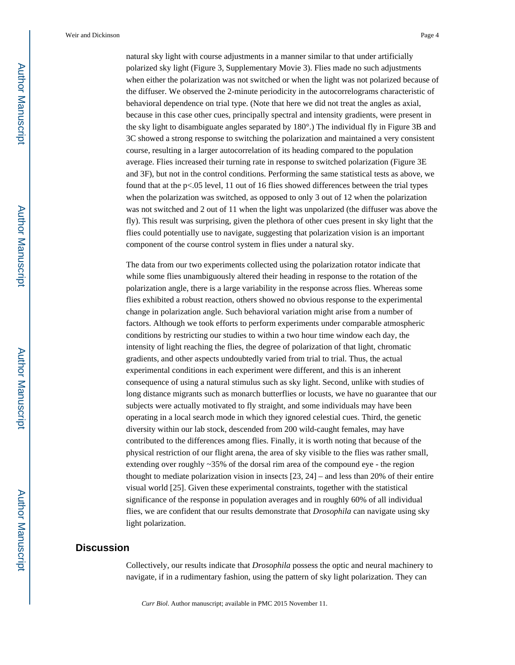natural sky light with course adjustments in a manner similar to that under artificially polarized sky light (Figure 3, Supplementary Movie 3). Flies made no such adjustments when either the polarization was not switched or when the light was not polarized because of the diffuser. We observed the 2-minute periodicity in the autocorrelograms characteristic of behavioral dependence on trial type. (Note that here we did not treat the angles as axial, because in this case other cues, principally spectral and intensity gradients, were present in the sky light to disambiguate angles separated by 180°.) The individual fly in Figure 3B and 3C showed a strong response to switching the polarization and maintained a very consistent course, resulting in a larger autocorrelation of its heading compared to the population average. Flies increased their turning rate in response to switched polarization (Figure 3E and 3F), but not in the control conditions. Performing the same statistical tests as above, we found that at the p<.05 level, 11 out of 16 flies showed differences between the trial types when the polarization was switched, as opposed to only 3 out of 12 when the polarization was not switched and 2 out of 11 when the light was unpolarized (the diffuser was above the fly). This result was surprising, given the plethora of other cues present in sky light that the flies could potentially use to navigate, suggesting that polarization vision is an important component of the course control system in flies under a natural sky.

The data from our two experiments collected using the polarization rotator indicate that while some flies unambiguously altered their heading in response to the rotation of the polarization angle, there is a large variability in the response across flies. Whereas some flies exhibited a robust reaction, others showed no obvious response to the experimental change in polarization angle. Such behavioral variation might arise from a number of factors. Although we took efforts to perform experiments under comparable atmospheric conditions by restricting our studies to within a two hour time window each day, the intensity of light reaching the flies, the degree of polarization of that light, chromatic gradients, and other aspects undoubtedly varied from trial to trial. Thus, the actual experimental conditions in each experiment were different, and this is an inherent consequence of using a natural stimulus such as sky light. Second, unlike with studies of long distance migrants such as monarch butterflies or locusts, we have no guarantee that our subjects were actually motivated to fly straight, and some individuals may have been operating in a local search mode in which they ignored celestial cues. Third, the genetic diversity within our lab stock, descended from 200 wild-caught females, may have contributed to the differences among flies. Finally, it is worth noting that because of the physical restriction of our flight arena, the area of sky visible to the flies was rather small, extending over roughly ~35% of the dorsal rim area of the compound eye - the region thought to mediate polarization vision in insects [23, 24] – and less than 20% of their entire visual world [25]. Given these experimental constraints, together with the statistical significance of the response in population averages and in roughly 60% of all individual flies, we are confident that our results demonstrate that *Drosophila* can navigate using sky light polarization.

#### **Discussion**

Collectively, our results indicate that *Drosophila* possess the optic and neural machinery to navigate, if in a rudimentary fashion, using the pattern of sky light polarization. They can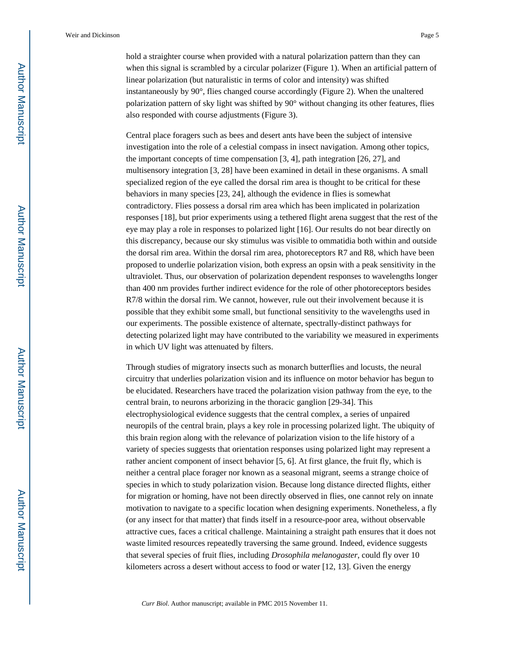hold a straighter course when provided with a natural polarization pattern than they can when this signal is scrambled by a circular polarizer (Figure 1). When an artificial pattern of linear polarization (but naturalistic in terms of color and intensity) was shifted instantaneously by 90°, flies changed course accordingly (Figure 2). When the unaltered polarization pattern of sky light was shifted by 90° without changing its other features, flies also responded with course adjustments (Figure 3).

Central place foragers such as bees and desert ants have been the subject of intensive investigation into the role of a celestial compass in insect navigation. Among other topics, the important concepts of time compensation [3, 4], path integration [26, 27], and multisensory integration [3, 28] have been examined in detail in these organisms. A small specialized region of the eye called the dorsal rim area is thought to be critical for these behaviors in many species [23, 24], although the evidence in flies is somewhat contradictory. Flies possess a dorsal rim area which has been implicated in polarization responses [18], but prior experiments using a tethered flight arena suggest that the rest of the eye may play a role in responses to polarized light [16]. Our results do not bear directly on this discrepancy, because our sky stimulus was visible to ommatidia both within and outside the dorsal rim area. Within the dorsal rim area, photoreceptors R7 and R8, which have been proposed to underlie polarization vision, both express an opsin with a peak sensitivity in the ultraviolet. Thus, our observation of polarization dependent responses to wavelengths longer than 400 nm provides further indirect evidence for the role of other photoreceptors besides R7/8 within the dorsal rim. We cannot, however, rule out their involvement because it is possible that they exhibit some small, but functional sensitivity to the wavelengths used in our experiments. The possible existence of alternate, spectrally-distinct pathways for detecting polarized light may have contributed to the variability we measured in experiments in which UV light was attenuated by filters.

Through studies of migratory insects such as monarch butterflies and locusts, the neural circuitry that underlies polarization vision and its influence on motor behavior has begun to be elucidated. Researchers have traced the polarization vision pathway from the eye, to the central brain, to neurons arborizing in the thoracic ganglion [29-34]. This electrophysiological evidence suggests that the central complex, a series of unpaired neuropils of the central brain, plays a key role in processing polarized light. The ubiquity of this brain region along with the relevance of polarization vision to the life history of a variety of species suggests that orientation responses using polarized light may represent a rather ancient component of insect behavior [5, 6]. At first glance, the fruit fly, which is neither a central place forager nor known as a seasonal migrant, seems a strange choice of species in which to study polarization vision. Because long distance directed flights, either for migration or homing, have not been directly observed in flies, one cannot rely on innate motivation to navigate to a specific location when designing experiments. Nonetheless, a fly (or any insect for that matter) that finds itself in a resource-poor area, without observable attractive cues, faces a critical challenge. Maintaining a straight path ensures that it does not waste limited resources repeatedly traversing the same ground. Indeed, evidence suggests that several species of fruit flies, including *Drosophila melanogaster*, could fly over 10 kilometers across a desert without access to food or water [12, 13]. Given the energy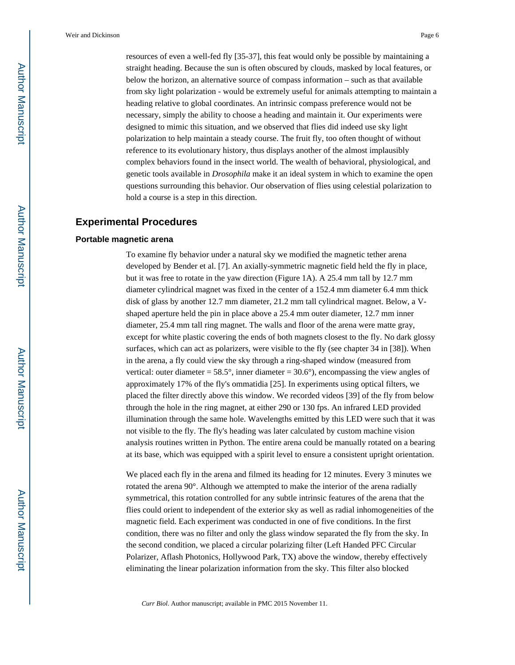resources of even a well-fed fly [35-37], this feat would only be possible by maintaining a straight heading. Because the sun is often obscured by clouds, masked by local features, or below the horizon, an alternative source of compass information – such as that available from sky light polarization - would be extremely useful for animals attempting to maintain a heading relative to global coordinates. An intrinsic compass preference would not be necessary, simply the ability to choose a heading and maintain it. Our experiments were designed to mimic this situation, and we observed that flies did indeed use sky light polarization to help maintain a steady course. The fruit fly, too often thought of without reference to its evolutionary history, thus displays another of the almost implausibly complex behaviors found in the insect world. The wealth of behavioral, physiological, and genetic tools available in *Drosophila* make it an ideal system in which to examine the open questions surrounding this behavior. Our observation of flies using celestial polarization to hold a course is a step in this direction.

### **Experimental Procedures**

#### **Portable magnetic arena**

To examine fly behavior under a natural sky we modified the magnetic tether arena developed by Bender et al. [7]. An axially-symmetric magnetic field held the fly in place, but it was free to rotate in the yaw direction (Figure 1A). A 25.4 mm tall by 12.7 mm diameter cylindrical magnet was fixed in the center of a 152.4 mm diameter 6.4 mm thick disk of glass by another 12.7 mm diameter, 21.2 mm tall cylindrical magnet. Below, a Vshaped aperture held the pin in place above a 25.4 mm outer diameter, 12.7 mm inner diameter, 25.4 mm tall ring magnet. The walls and floor of the arena were matte gray, except for white plastic covering the ends of both magnets closest to the fly. No dark glossy surfaces, which can act as polarizers, were visible to the fly (see chapter 34 in [38]). When in the arena, a fly could view the sky through a ring-shaped window (measured from vertical: outer diameter =  $58.5^{\circ}$ , inner diameter =  $30.6^{\circ}$ ), encompassing the view angles of approximately 17% of the fly's ommatidia [25]. In experiments using optical filters, we placed the filter directly above this window. We recorded videos [39] of the fly from below through the hole in the ring magnet, at either 290 or 130 fps. An infrared LED provided illumination through the same hole. Wavelengths emitted by this LED were such that it was not visible to the fly. The fly's heading was later calculated by custom machine vision analysis routines written in Python. The entire arena could be manually rotated on a bearing at its base, which was equipped with a spirit level to ensure a consistent upright orientation.

We placed each fly in the arena and filmed its heading for 12 minutes. Every 3 minutes we rotated the arena 90°. Although we attempted to make the interior of the arena radially symmetrical, this rotation controlled for any subtle intrinsic features of the arena that the flies could orient to independent of the exterior sky as well as radial inhomogeneities of the magnetic field. Each experiment was conducted in one of five conditions. In the first condition, there was no filter and only the glass window separated the fly from the sky. In the second condition, we placed a circular polarizing filter (Left Handed PFC Circular Polarizer, Aflash Photonics, Hollywood Park, TX) above the window, thereby effectively eliminating the linear polarization information from the sky. This filter also blocked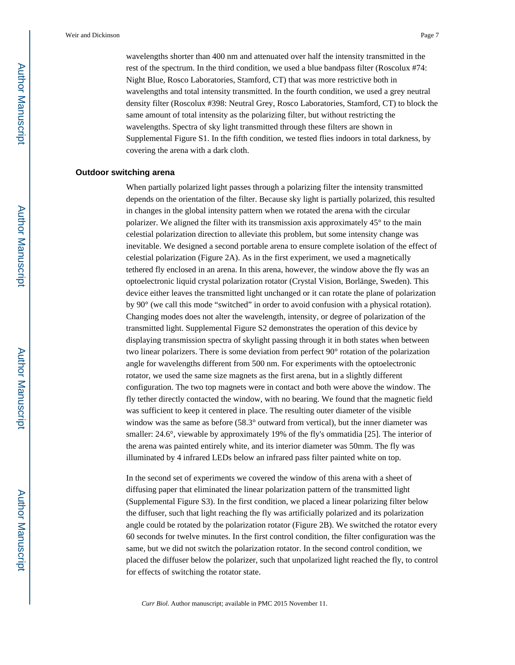wavelengths shorter than 400 nm and attenuated over half the intensity transmitted in the rest of the spectrum. In the third condition, we used a blue bandpass filter (Roscolux #74: Night Blue, Rosco Laboratories, Stamford, CT) that was more restrictive both in wavelengths and total intensity transmitted. In the fourth condition, we used a grey neutral density filter (Roscolux #398: Neutral Grey, Rosco Laboratories, Stamford, CT) to block the same amount of total intensity as the polarizing filter, but without restricting the wavelengths. Spectra of sky light transmitted through these filters are shown in Supplemental Figure S1. In the fifth condition, we tested flies indoors in total darkness, by covering the arena with a dark cloth.

#### **Outdoor switching arena**

When partially polarized light passes through a polarizing filter the intensity transmitted depends on the orientation of the filter. Because sky light is partially polarized, this resulted in changes in the global intensity pattern when we rotated the arena with the circular polarizer. We aligned the filter with its transmission axis approximately 45° to the main celestial polarization direction to alleviate this problem, but some intensity change was inevitable. We designed a second portable arena to ensure complete isolation of the effect of celestial polarization (Figure 2A). As in the first experiment, we used a magnetically tethered fly enclosed in an arena. In this arena, however, the window above the fly was an optoelectronic liquid crystal polarization rotator (Crystal Vision, Borlänge, Sweden). This device either leaves the transmitted light unchanged or it can rotate the plane of polarization by 90° (we call this mode "switched" in order to avoid confusion with a physical rotation). Changing modes does not alter the wavelength, intensity, or degree of polarization of the transmitted light. Supplemental Figure S2 demonstrates the operation of this device by displaying transmission spectra of skylight passing through it in both states when between two linear polarizers. There is some deviation from perfect 90° rotation of the polarization angle for wavelengths different from 500 nm. For experiments with the optoelectronic rotator, we used the same size magnets as the first arena, but in a slightly different configuration. The two top magnets were in contact and both were above the window. The fly tether directly contacted the window, with no bearing. We found that the magnetic field was sufficient to keep it centered in place. The resulting outer diameter of the visible window was the same as before (58.3° outward from vertical), but the inner diameter was smaller: 24.6°, viewable by approximately 19% of the fly's ommatidia [25]. The interior of the arena was painted entirely white, and its interior diameter was 50mm. The fly was illuminated by 4 infrared LEDs below an infrared pass filter painted white on top.

In the second set of experiments we covered the window of this arena with a sheet of diffusing paper that eliminated the linear polarization pattern of the transmitted light (Supplemental Figure S3). In the first condition, we placed a linear polarizing filter below the diffuser, such that light reaching the fly was artificially polarized and its polarization angle could be rotated by the polarization rotator (Figure 2B). We switched the rotator every 60 seconds for twelve minutes. In the first control condition, the filter configuration was the same, but we did not switch the polarization rotator. In the second control condition, we placed the diffuser below the polarizer, such that unpolarized light reached the fly, to control for effects of switching the rotator state.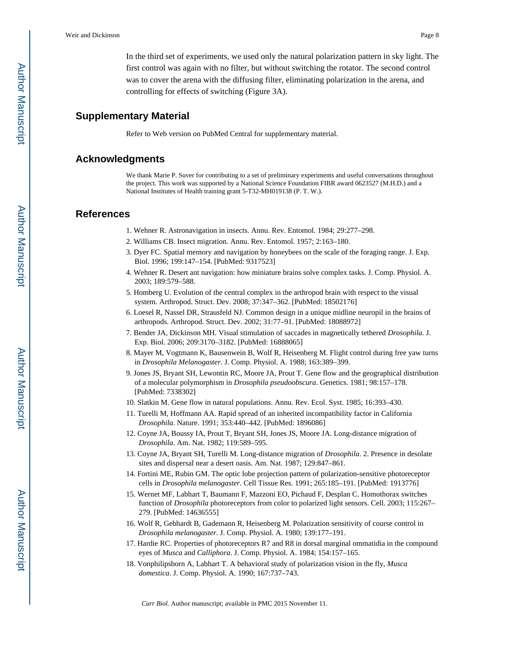In the third set of experiments, we used only the natural polarization pattern in sky light. The first control was again with no filter, but without switching the rotator. The second control was to cover the arena with the diffusing filter, eliminating polarization in the arena, and controlling for effects of switching (Figure 3A).

#### **Supplementary Material**

Refer to Web version on PubMed Central for supplementary material.

#### **Acknowledgments**

We thank Marie P. Suver for contributing to a set of preliminary experiments and useful conversations throughout the project. This work was supported by a National Science Foundation FIBR award 0623527 (M.H.D.) and a National Institutes of Health training grant 5-T32-MH019138 (P. T. W.).

#### **References**

- 1. Wehner R. Astronavigation in insects. Annu. Rev. Entomol. 1984; 29:277–298.
- 2. Williams CB. Insect migration. Annu. Rev. Entomol. 1957; 2:163–180.
- 3. Dyer FC. Spatial memory and navigation by honeybees on the scale of the foraging range. J. Exp. Biol. 1996; 199:147–154. [PubMed: 9317523]
- 4. Wehner R. Desert ant navigation: how miniature brains solve complex tasks. J. Comp. Physiol. A. 2003; 189:579–588.
- 5. Homberg U. Evolution of the central complex in the arthropod brain with respect to the visual system. Arthropod. Struct. Dev. 2008; 37:347–362. [PubMed: 18502176]
- 6. Loesel R, Nassel DR, Strausfeld NJ. Common design in a unique midline neuropil in the brains of arthropods. Arthropod. Struct. Dev. 2002; 31:77–91. [PubMed: 18088972]
- 7. Bender JA, Dickinson MH. Visual stimulation of saccades in magnetically tethered *Drosophila*. J. Exp. Biol. 2006; 209:3170–3182. [PubMed: 16888065]
- 8. Mayer M, Vogtmann K, Bausenwein B, Wolf R, Heisenberg M. Flight control during free yaw turns in *Drosophila Melanogaster*. J. Comp. Physiol. A. 1988; 163:389–399.
- 9. Jones JS, Bryant SH, Lewontin RC, Moore JA, Prout T. Gene flow and the geographical distribution of a molecular polymorphism in *Drosophila pseudoobscura*. Genetics. 1981; 98:157–178. [PubMed: 7338302]
- 10. Slatkin M. Gene flow in natural populations. Annu. Rev. Ecol. Syst. 1985; 16:393–430.
- 11. Turelli M, Hoffmann AA. Rapid spread of an inherited incompatibility factor in California *Drosophila*. Nature. 1991; 353:440–442. [PubMed: 1896086]
- 12. Coyne JA, Boussy IA, Prout T, Bryant SH, Jones JS, Moore JA. Long-distance migration of *Drosophila*. Am. Nat. 1982; 119:589–595.
- 13. Coyne JA, Bryant SH, Turelli M. Long-distance migration of *Drosophila*. 2. Presence in desolate sites and dispersal near a desert oasis. Am. Nat. 1987; 129:847–861.
- 14. Fortini ME, Rubin GM. The optic lobe projection pattern of polarization-sensitive photoreceptor cells in *Drosophila melanogaster*. Cell Tissue Res. 1991; 265:185–191. [PubMed: 1913776]
- 15. Wernet MF, Labhart T, Baumann F, Mazzoni EO, Pichaud F, Desplan C. Homothorax switches function of *Drosophila* photoreceptors from color to polarized light sensors. Cell. 2003; 115:267– 279. [PubMed: 14636555]
- 16. Wolf R, Gebhardt B, Gademann R, Heisenberg M. Polarization sensitivity of course control in *Drosophila melanogaster*. J. Comp. Physiol. A. 1980; 139:177–191.
- 17. Hardie RC. Properties of photoreceptors R7 and R8 in dorsal marginal ommatidia in the compound eyes of *Musca* and *Calliphora*. J. Comp. Physiol. A. 1984; 154:157–165.
- 18. Vonphilipsborn A, Labhart T. A behavioral study of polarization vision in the fly, *Musca domestica*. J. Comp. Physiol. A. 1990; 167:737–743.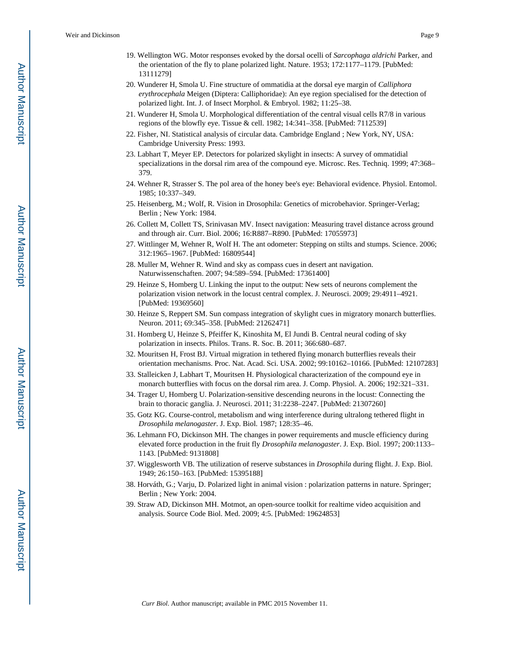- 19. Wellington WG. Motor responses evoked by the dorsal ocelli of *Sarcophaga aldrichi* Parker, and the orientation of the fly to plane polarized light. Nature. 1953; 172:1177–1179. [PubMed: 13111279]
- 20. Wunderer H, Smola U. Fine structure of ommatidia at the dorsal eye margin of *Calliphora erythrocephala* Meigen (Diptera: Calliphoridae): An eye region specialised for the detection of polarized light. Int. J. of Insect Morphol. & Embryol. 1982; 11:25–38.
- 21. Wunderer H, Smola U. Morphological differentiation of the central visual cells R7/8 in various regions of the blowfly eye. Tissue & cell. 1982; 14:341–358. [PubMed: 7112539]
- 22. Fisher, NI. Statistical analysis of circular data. Cambridge England ; New York, NY, USA: Cambridge University Press: 1993.
- 23. Labhart T, Meyer EP. Detectors for polarized skylight in insects: A survey of ommatidial specializations in the dorsal rim area of the compound eye. Microsc. Res. Techniq. 1999; 47:368– 379.
- 24. Wehner R, Strasser S. The pol area of the honey bee's eye: Behavioral evidence. Physiol. Entomol. 1985; 10:337–349.
- 25. Heisenberg, M.; Wolf, R. Vision in Drosophila: Genetics of microbehavior. Springer-Verlag; Berlin ; New York: 1984.
- 26. Collett M, Collett TS, Srinivasan MV. Insect navigation: Measuring travel distance across ground and through air. Curr. Biol. 2006; 16:R887–R890. [PubMed: 17055973]
- 27. Wittlinger M, Wehner R, Wolf H. The ant odometer: Stepping on stilts and stumps. Science. 2006; 312:1965–1967. [PubMed: 16809544]
- 28. Muller M, Wehner R. Wind and sky as compass cues in desert ant navigation. Naturwissenschaften. 2007; 94:589–594. [PubMed: 17361400]
- 29. Heinze S, Homberg U. Linking the input to the output: New sets of neurons complement the polarization vision network in the locust central complex. J. Neurosci. 2009; 29:4911–4921. [PubMed: 19369560]
- 30. Heinze S, Reppert SM. Sun compass integration of skylight cues in migratory monarch butterflies. Neuron. 2011; 69:345–358. [PubMed: 21262471]
- 31. Homberg U, Heinze S, Pfeiffer K, Kinoshita M, El Jundi B. Central neural coding of sky polarization in insects. Philos. Trans. R. Soc. B. 2011; 366:680–687.
- 32. Mouritsen H, Frost BJ. Virtual migration in tethered flying monarch butterflies reveals their orientation mechanisms. Proc. Nat. Acad. Sci. USA. 2002; 99:10162–10166. [PubMed: 12107283]
- 33. Stalleicken J, Labhart T, Mouritsen H. Physiological characterization of the compound eye in monarch butterflies with focus on the dorsal rim area. J. Comp. Physiol. A. 2006; 192:321–331.
- 34. Trager U, Homberg U. Polarization-sensitive descending neurons in the locust: Connecting the brain to thoracic ganglia. J. Neurosci. 2011; 31:2238–2247. [PubMed: 21307260]
- 35. Gotz KG. Course-control, metabolism and wing interference during ultralong tethered flight in *Drosophila melanogaster*. J. Exp. Biol. 1987; 128:35–46.
- 36. Lehmann FO, Dickinson MH. The changes in power requirements and muscle efficiency during elevated force production in the fruit fly *Drosophila melanogaster*. J. Exp. Biol. 1997; 200:1133– 1143. [PubMed: 9131808]
- 37. Wigglesworth VB. The utilization of reserve substances in *Drosophila* during flight. J. Exp. Biol. 1949; 26:150–163. [PubMed: 15395188]
- 38. Horváth, G.; Varju, D. Polarized light in animal vision : polarization patterns in nature. Springer; Berlin ; New York: 2004.
- 39. Straw AD, Dickinson MH. Motmot, an open-source toolkit for realtime video acquisition and analysis. Source Code Biol. Med. 2009; 4:5. [PubMed: 19624853]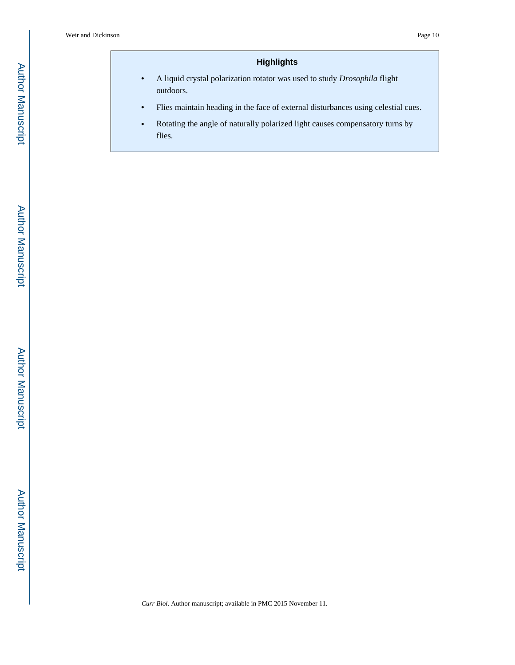## **Highlights**

- **•** A liquid crystal polarization rotator was used to study *Drosophila* flight outdoors.
- **•** Flies maintain heading in the face of external disturbances using celestial cues.
- **•** Rotating the angle of naturally polarized light causes compensatory turns by flies.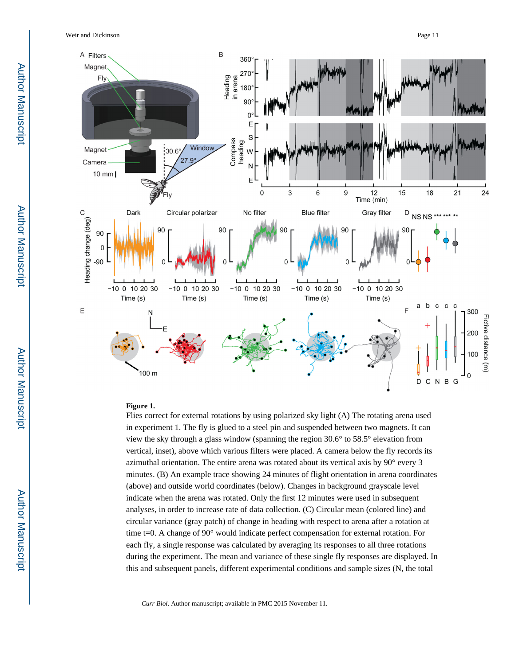

#### **Figure 1.**

Flies correct for external rotations by using polarized sky light (A) The rotating arena used in experiment 1. The fly is glued to a steel pin and suspended between two magnets. It can view the sky through a glass window (spanning the region 30.6° to 58.5° elevation from vertical, inset), above which various filters were placed. A camera below the fly records its azimuthal orientation. The entire arena was rotated about its vertical axis by 90° every 3 minutes. (B) An example trace showing 24 minutes of flight orientation in arena coordinates (above) and outside world coordinates (below). Changes in background grayscale level indicate when the arena was rotated. Only the first 12 minutes were used in subsequent analyses, in order to increase rate of data collection. (C) Circular mean (colored line) and circular variance (gray patch) of change in heading with respect to arena after a rotation at time t=0. A change of 90° would indicate perfect compensation for external rotation. For each fly, a single response was calculated by averaging its responses to all three rotations during the experiment. The mean and variance of these single fly responses are displayed. In this and subsequent panels, different experimental conditions and sample sizes (N, the total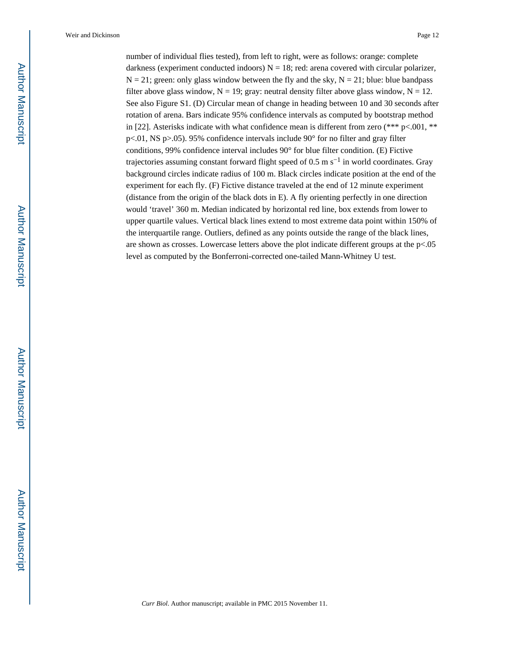number of individual flies tested), from left to right, were as follows: orange: complete darkness (experiment conducted indoors)  $N = 18$ ; red: arena covered with circular polarizer,  $N = 21$ ; green: only glass window between the fly and the sky,  $N = 21$ ; blue: blue bandpass filter above glass window,  $N = 19$ ; gray: neutral density filter above glass window,  $N = 12$ . See also Figure S1. (D) Circular mean of change in heading between 10 and 30 seconds after rotation of arena. Bars indicate 95% confidence intervals as computed by bootstrap method in [22]. Asterisks indicate with what confidence mean is different from zero (\*\*\*  $p<0.001$ , \*\* p<.01, NS p>.05). 95% confidence intervals include 90° for no filter and gray filter conditions, 99% confidence interval includes 90° for blue filter condition. (E) Fictive trajectories assuming constant forward flight speed of 0.5 m s<sup> $-1$ </sup> in world coordinates. Gray background circles indicate radius of 100 m. Black circles indicate position at the end of the experiment for each fly. (F) Fictive distance traveled at the end of 12 minute experiment (distance from the origin of the black dots in E). A fly orienting perfectly in one direction would 'travel' 360 m. Median indicated by horizontal red line, box extends from lower to upper quartile values. Vertical black lines extend to most extreme data point within 150% of the interquartile range. Outliers, defined as any points outside the range of the black lines, are shown as crosses. Lowercase letters above the plot indicate different groups at the p<.05 level as computed by the Bonferroni-corrected one-tailed Mann-Whitney U test.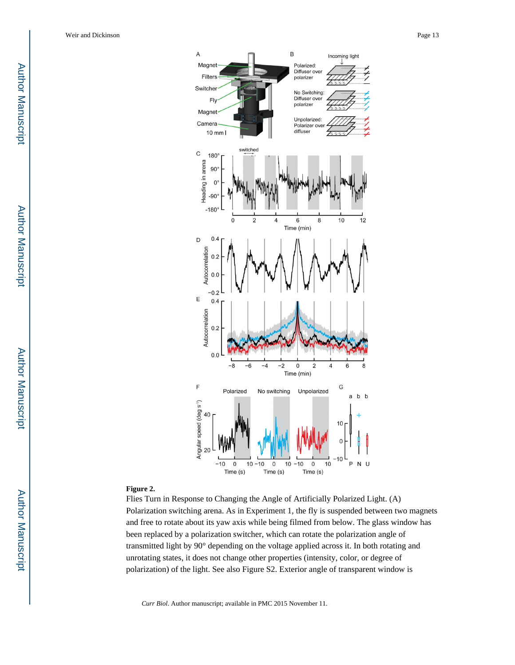Author ManuscriptAuthor Manuscript



#### **Figure 2.**

Flies Turn in Response to Changing the Angle of Artificially Polarized Light. (A) Polarization switching arena. As in Experiment 1, the fly is suspended between two magnets and free to rotate about its yaw axis while being filmed from below. The glass window has been replaced by a polarization switcher, which can rotate the polarization angle of transmitted light by 90° depending on the voltage applied across it. In both rotating and unrotating states, it does not change other properties (intensity, color, or degree of polarization) of the light. See also Figure S2. Exterior angle of transparent window is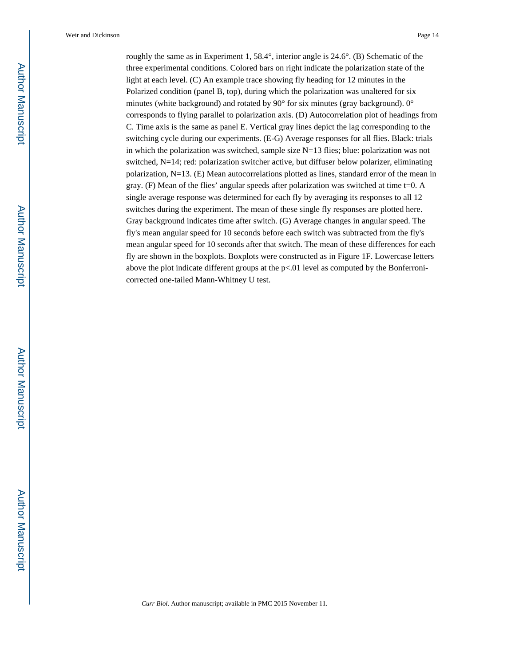roughly the same as in Experiment 1, 58.4 $\degree$ , interior angle is 24.6 $\degree$ . (B) Schematic of the three experimental conditions. Colored bars on right indicate the polarization state of the light at each level. (C) An example trace showing fly heading for 12 minutes in the Polarized condition (panel B, top), during which the polarization was unaltered for six minutes (white background) and rotated by 90° for six minutes (gray background). 0° corresponds to flying parallel to polarization axis. (D) Autocorrelation plot of headings from C. Time axis is the same as panel E. Vertical gray lines depict the lag corresponding to the switching cycle during our experiments. (E-G) Average responses for all flies. Black: trials in which the polarization was switched, sample size  $N=13$  flies; blue: polarization was not switched, N=14; red: polarization switcher active, but diffuser below polarizer, eliminating polarization, N=13. (E) Mean autocorrelations plotted as lines, standard error of the mean in gray. (F) Mean of the flies' angular speeds after polarization was switched at time  $t=0$ . A single average response was determined for each fly by averaging its responses to all 12 switches during the experiment. The mean of these single fly responses are plotted here. Gray background indicates time after switch. (G) Average changes in angular speed. The fly's mean angular speed for 10 seconds before each switch was subtracted from the fly's mean angular speed for 10 seconds after that switch. The mean of these differences for each fly are shown in the boxplots. Boxplots were constructed as in Figure 1F. Lowercase letters above the plot indicate different groups at the p<.01 level as computed by the Bonferronicorrected one-tailed Mann-Whitney U test.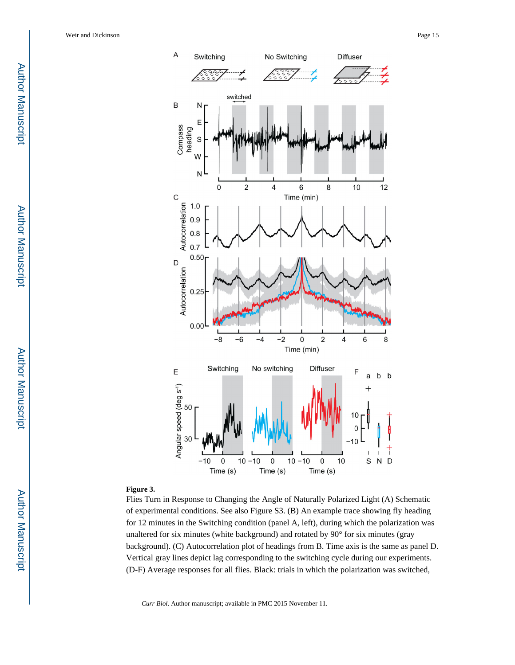**Author Manuscript** Author Manuscript

 Author Manuscript**Author Manuscript** 



#### **Figure 3.**

Flies Turn in Response to Changing the Angle of Naturally Polarized Light (A) Schematic of experimental conditions. See also Figure S3. (B) An example trace showing fly heading for 12 minutes in the Switching condition (panel A, left), during which the polarization was unaltered for six minutes (white background) and rotated by 90° for six minutes (gray background). (C) Autocorrelation plot of headings from B. Time axis is the same as panel D. Vertical gray lines depict lag corresponding to the switching cycle during our experiments. (D-F) Average responses for all flies. Black: trials in which the polarization was switched,